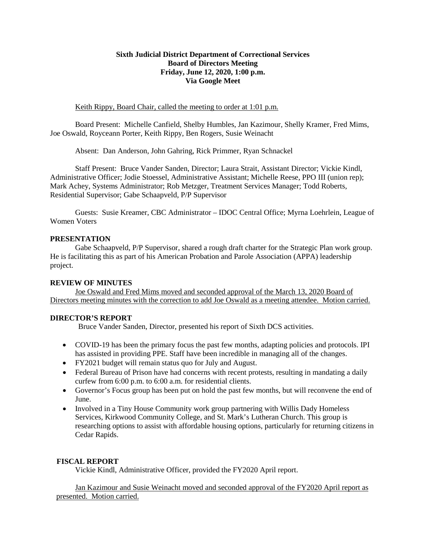#### **Sixth Judicial District Department of Correctional Services Board of Directors Meeting Friday, June 12, 2020, 1:00 p.m. Via Google Meet**

#### Keith Rippy, Board Chair, called the meeting to order at 1:01 p.m.

Board Present: Michelle Canfield, Shelby Humbles, Jan Kazimour, Shelly Kramer, Fred Mims, Joe Oswald, Royceann Porter, Keith Rippy, Ben Rogers, Susie Weinacht

Absent: Dan Anderson, John Gahring, Rick Primmer, Ryan Schnackel

Staff Present: Bruce Vander Sanden, Director; Laura Strait, Assistant Director; Vickie Kindl, Administrative Officer; Jodie Stoessel, Administrative Assistant; Michelle Reese, PPO III (union rep); Mark Achey, Systems Administrator; Rob Metzger, Treatment Services Manager; Todd Roberts, Residential Supervisor; Gabe Schaapveld, P/P Supervisor

Guests: Susie Kreamer, CBC Administrator – IDOC Central Office; Myrna Loehrlein, League of Women Voters

#### **PRESENTATION**

Gabe Schaapveld, P/P Supervisor, shared a rough draft charter for the Strategic Plan work group. He is facilitating this as part of his American Probation and Parole Association (APPA) leadership project.

#### **REVIEW OF MINUTES**

Joe Oswald and Fred Mims moved and seconded approval of the March 13, 2020 Board of Directors meeting minutes with the correction to add Joe Oswald as a meeting attendee. Motion carried.

#### **DIRECTOR'S REPORT**

Bruce Vander Sanden, Director, presented his report of Sixth DCS activities.

- COVID-19 has been the primary focus the past few months, adapting policies and protocols. IPI has assisted in providing PPE. Staff have been incredible in managing all of the changes.
- FY2021 budget will remain status quo for July and August.
- Federal Bureau of Prison have had concerns with recent protests, resulting in mandating a daily curfew from 6:00 p.m. to 6:00 a.m. for residential clients.
- Governor's Focus group has been put on hold the past few months, but will reconvene the end of June.
- Involved in a Tiny House Community work group partnering with Willis Dady Homeless Services, Kirkwood Community College, and St. Mark's Lutheran Church. This group is researching options to assist with affordable housing options, particularly for returning citizens in Cedar Rapids.

#### **FISCAL REPORT**

Vickie Kindl, Administrative Officer, provided the FY2020 April report.

Jan Kazimour and Susie Weinacht moved and seconded approval of the FY2020 April report as presented. Motion carried.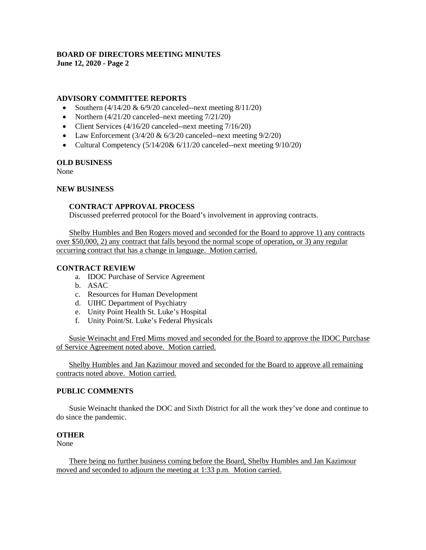# **BOARD OF DIRECTORS MEETING MINUTES**

**June 12, 2020 - Page 2**

### **ADVISORY COMMITTEE REPORTS**

- Southern  $(4/14/20 \& 6/9/20$  canceled--next meeting  $8/11/20$ )
- Northern  $\left(\frac{4}{21}{20} \text{ canceled} \text{next meeting 7/21/20}\right)$
- Client Services (4/16/20 canceled--next meeting 7/16/20)
- Law Enforcement  $(3/4/20 \& 6/3/20$  canceled--next meeting  $9/2/20$ )
- Cultural Competency  $(5/14/20\& 6/11/20$  canceled--next meeting  $9/10/20$ )

#### **OLD BUSINESS**

None

#### **NEW BUSINESS**

#### **CONTRACT APPROVAL PROCESS**

Discussed preferred protocol for the Board's involvement in approving contracts.

Shelby Humbles and Ben Rogers moved and seconded for the Board to approve 1) any contracts over \$50,000, 2) any contract that falls beyond the normal scope of operation, or 3) any regular occurring contract that has a change in language. Motion carried.

#### **CONTRACT REVIEW**

- a. IDOC Purchase of Service Agreement
- b. ASAC
- c. Resources for Human Development
- d. UIHC Department of Psychiatry
- e. Unity Point Health St. Luke's Hospital
- f. Unity Point/St. Luke's Federal Physicals

Susie Weinacht and Fred Mims moved and seconded for the Board to approve the IDOC Purchase of Service Agreement noted above. Motion carried.

Shelby Humbles and Jan Kazimour moved and seconded for the Board to approve all remaining contracts noted above. Motion carried.

#### **PUBLIC COMMENTS**

Susie Weinacht thanked the DOC and Sixth District for all the work they've done and continue to do since the pandemic.

#### **OTHER**

None

There being no further business coming before the Board, Shelby Humbles and Jan Kazimour moved and seconded to adjourn the meeting at 1:33 p.m. Motion carried.